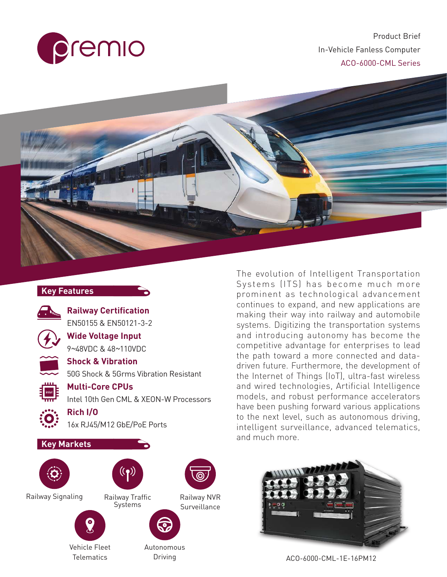

Product Brief In-Vehicle Fanless Computer ACO-6000-CML Series



#### **Key Features**



**Railway Certification** EN50155 & EN50121-3-2



**Wide Voltage Input** 9*~*48VDC & 48*~*110VDC

**Multi-Core CPUs**



**Shock & Vibration**<br>50G Shock & 5Grms

50G Shock & 5Grms Vibration Resistant

Intel 10th Gen CML & XEON-W Processors

## $\frac{1}{2}$  intell

#### **Rich I/O**

16x RJ45/M12 GbE/PoE Ports







Systems

Railway Signaling







Autonomous

Driving

The evolution of Intelligent Transportation Systems (ITS) has become much more prominent as technological advancement continues to expand, and new applications are making their way into railway and automobile systems. Digitizing the transportation systems and introducing autonomy has become the competitive advantage for enterprises to lead the path toward a more connected and datadriven future. Furthermore, the development of the Internet of Things (IoT), ultra-fast wireless and wired technologies, Artificial Intelligence models, and robust performance accelerators have been pushing forward various applications to the next level, such as autonomous driving, intelligent surveillance, advanced telematics, and much more.



ACO-6000-CML-1E-16PM12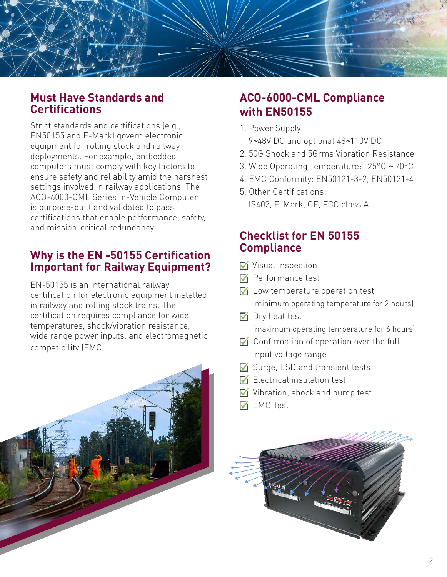

#### **Must Have Standards and Certifications**

Strict standards and certifications (e.g., EN50155 and E-Mark) govern electronic equipment for rolling stock and railway deployments. For example, embedded computers must comply with key factors to ensure safety and reliability amid the harshest settings involved in railway applications. The ACO-6000-CML Series In-Vehicle Computer is purpose-built and validated to pass certifications that enable performance, safety, and mission-critical redundancy.

#### **Why is the EN -50155 Certification Important for Railway Equipment?**

EN-50155 is an international railway certification for electronic equipment installed in railway and rolling stock trains. The certification requires compliance for wide temperatures, shock/vibration resistance, wide range power inputs, and electromagnetic compatibility (EMC).



#### **ACO-6000-CML Compliance with EN50155**

1. Power Supply:

9*~*48V DC and optional 48*~*110V DC

- 2. 50G Shock and 5Grms Vibration Resistance
- 3. Wide Operating Temperature: -25°C *~* 70°C
- 4. EMC Conformity: EN50121-3-2, EN50121-4
- 5. Other Certifications: IS402, E-Mark, CE, FCC class A

#### **Checklist for EN 50155 Compliance**

- ☑ Visual inspection
- ☑ Performance test
- ☑ Low temperature operation test (minimum operating temperature for 2 hours)
- $\nabla$  Dry heat test (maximum operating temperature for 6 hours)
- ☑ Confirmation of operation over the full input voltage range
- ☑ Surge, ESD and transient tests
- $\nabla f$  Electrical insulation test
- ☑ Vibration, shock and bump test
- ☑ EMC Test

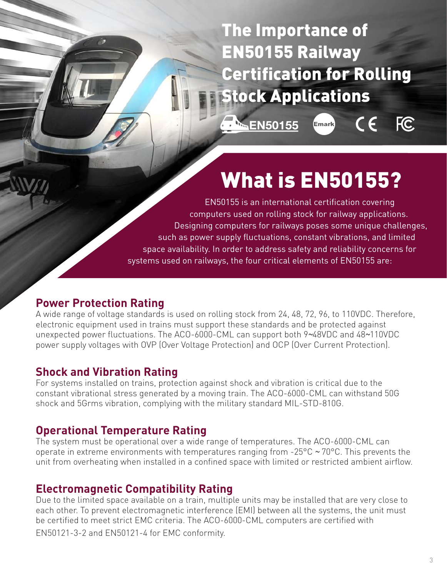The Importance of EN50155 Railway Certification for Rolling Stock Applications

**A.** EN50155

 $\epsilon$ ,<br>Emark

## FC.

# What is EN50155?

EN50155 is an international certification covering computers used on rolling stock for railway applications. Designing computers for railways poses some unique challenges, such as power supply fluctuations, constant vibrations, and limited space availability. In order to address safety and reliability concerns for systems used on railways, the four critical elements of EN50155 are:

#### **Power Protection Rating**

A wide range of voltage standards is used on rolling stock from 24, 48, 72, 96, to 110VDC. Therefore, electronic equipment used in trains must support these standards and be protected against unexpected power fluctuations. The ACO-6000-CML can support both 9*~*48VDC and 48*~*110VDC power supply voltages with OVP (Over Voltage Protection) and OCP (Over Current Protection).

#### **Shock and Vibration Rating**

For systems installed on trains, protection against shock and vibration is critical due to the constant vibrational stress generated by a moving train. The ACO-6000-CML can withstand 50G shock and 5Grms vibration, complying with the military standard MIL-STD-810G.

#### **Operational Temperature Rating**

The system must be operational over a wide range of temperatures. The ACO-6000-CML can operate in extreme environments with temperatures ranging from -25°C *~* 70°C. This prevents the unit from overheating when installed in a confined space with limited or restricted ambient airflow.

#### **Electromagnetic Compatibility Rating**

Due to the limited space available on a train, multiple units may be installed that are very close to each other. To prevent electromagnetic interference (EMI) between all the systems, the unit must be certified to meet strict EMC criteria. The ACO-6000-CML computers are certified with EN50121-3-2 and EN50121-4 for EMC conformity.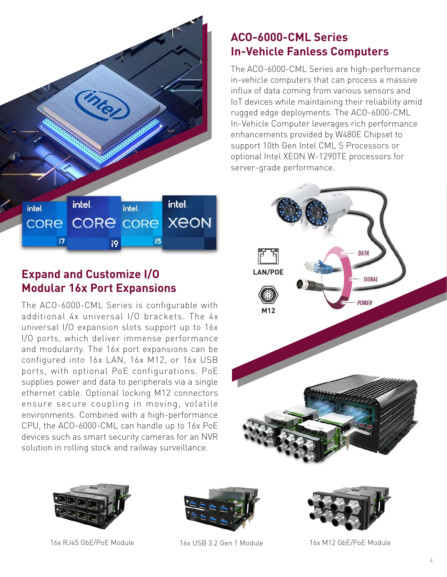

**Modular 16x Port Expansions**

The ACO-6000-CML Series is configurable with additional 4x universal I/O brackets. The 4x universal I/O expansion slots support up to 16x I/O ports, which deliver immense performance and modularity. The 16x port expansions can be configured into 16x LAN, 16x M12, or 16x USB ports, with optional PoE configurations. PoE supplies power and data to peripherals via a single ethernet cable. Optional locking M12 connectors ensure secure coupling in moving, volatile environments. Combined with a high-performance CPU, the ACO-6000-CML can handle up to 16x PoE devices such as smart security cameras for an NVR solution in rolling stock and railway surveillance.

#### **ACO-6000-CML Series In-Vehicle Fanless Computers**

The ACO-6000-CML Series are high-performance in-vehicle computers that can process a massive influx of data coming from various sensors and IoT devices while maintaining their reliability amid rugged edge deployments. The ACO-6000-CML In-Vehicle Computer leverages rich performance enhancements provided by W480E Chipset to support 10th Gen Intel CML S Processors or optional Intel XEON W-1290TE processors for server-grade performance.









16x RJ45 GbE/PoE Module 16x USB 3.2 Gen 1 Module 16x M12 GbE/PoE Module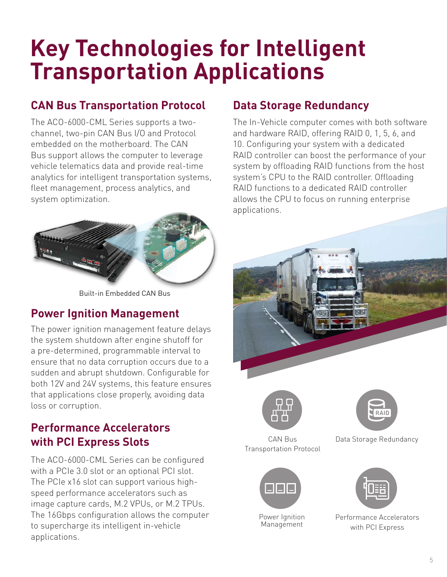# **Key Technologies for Intelligent Transportation Applications**

#### **CAN Bus Transportation Protocol Data Storage Redundancy**

The ACO-6000-CML Series supports a twochannel, two-pin CAN Bus I/O and Protocol embedded on the motherboard. The CAN Bus support allows the computer to leverage vehicle telematics data and provide real-time analytics for intelligent transportation systems, fleet management, process analytics, and system optimization.



Built-in Embedded CAN Bus

#### **Power Ignition Management**

The power ignition management feature delays the system shutdown after engine shutoff for a pre-determined, programmable interval to ensure that no data corruption occurs due to a sudden and abrupt shutdown. Configurable for both 12V and 24V systems, this feature ensures that applications close properly, avoiding data loss or corruption.

#### **Performance Accelerators with PCI Express Slots**

The ACO-6000-CML Series can be configured with a PCIe 3.0 slot or an optional PCI slot. The PCIe x16 slot can support various highspeed performance accelerators such as image capture cards, M.2 VPUs, or M.2 TPUs. The 16Gbps configuration allows the computer to supercharge its intelligent in-vehicle applications.

The In-Vehicle computer comes with both software and hardware RAID, offering RAID 0, 1, 5, 6, and 10. Configuring your system with a dedicated RAID controller can boost the performance of your system by offloading RAID functions from the host system's CPU to the RAID controller. Offloading RAID functions to a dedicated RAID controller allows the CPU to focus on running enterprise applications.





CAN Bus Transportation Protocol







Data Storage Redundancy



Performance Accelerators with PCI Express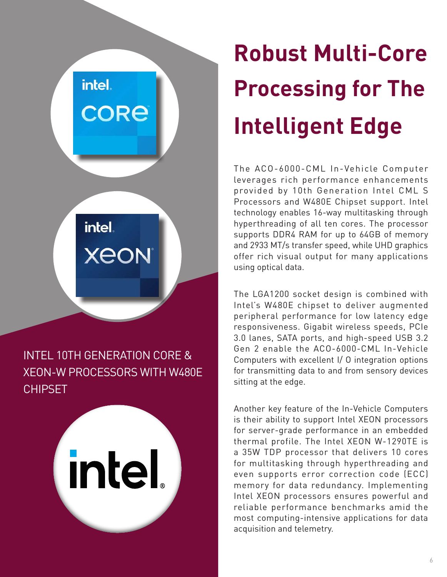intel. **CORE** 

intel.

**XEON** 

### INTEL 10TH GENERATION CORE & XEON-W PROCESSORS WITH W480E CHIPSET

intel

# **Robust Multi-Core Processing for The Intelligent Edge**

The ACO-6000-CML In-Vehicle Computer leverages rich performance enhancements provided by 10th Generation Intel CML S Processors and W480E Chipset support. Intel technology enables 16-way multitasking through hyperthreading of all ten cores. The processor supports DDR4 RAM for up to 64GB of memory and 2933 MT/s transfer speed, while UHD graphics offer rich visual output for many applications using optical data.

The LGA1200 socket design is combined with Intel's W480E chipset to deliver augmented peripheral performance for low latency edge responsiveness. Gigabit wireless speeds, PCIe 3.0 lanes, SATA ports, and high-speed USB 3.2 Gen 2 enable the ACO-6000-CML In-Vehicle Computers with excellent I/ O integration options for transmitting data to and from sensory devices sitting at the edge.

Another key feature of the In-Vehicle Computers is their ability to support Intel XEON processors for server-grade performance in an embedded thermal profile. The Intel XEON W-1290TE is a 35W TDP processor that delivers 10 cores for multitasking through hyperthreading and even supports error correction code (ECC) memory for data redundancy. Implementing Intel XEON processors ensures powerful and reliable performance benchmarks amid the most computing-intensive applications for data acquisition and telemetry.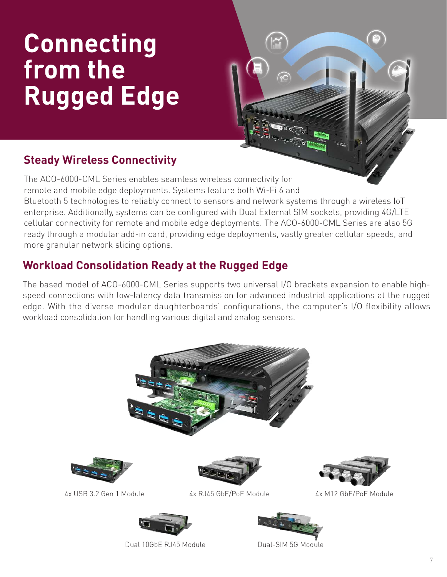# **Connecting from the Rugged Edge**



The ACO-6000-CML Series enables seamless wireless connectivity for remote and mobile edge deployments. Systems feature both Wi-Fi 6 and Bluetooth 5 technologies to reliably connect to sensors and network systems through a wireless IoT enterprise. Additionally, systems can be configured with Dual External SIM sockets, providing 4G/LTE cellular connectivity for remote and mobile edge deployments. The ACO-6000-CML Series are also 5G ready through a modular add-in card, providing edge deployments, vastly greater cellular speeds, and more granular network slicing options.

#### **Workload Consolidation Ready at the Rugged Edge**

The based model of ACO-6000-CML Series supports two universal I/O brackets expansion to enable highspeed connections with low-latency data transmission for advanced industrial applications at the rugged edge. With the diverse modular daughterboards' configurations, the computer's I/O flexibility allows workload consolidation for handling various digital and analog sensors.